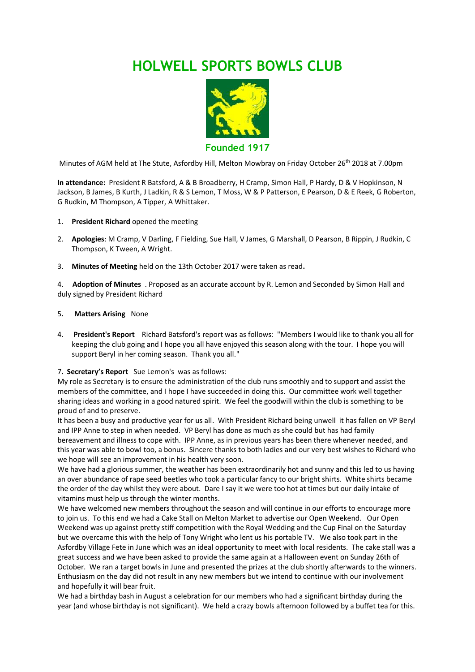# **HOLWELL SPORTS BOWLS CLUB**



**Founded 1917**

Minutes of AGM held at The Stute, Asfordby Hill, Melton Mowbray on Friday October 26<sup>th</sup> 2018 at 7.00pm

**In attendance:** President R Batsford, A & B Broadberry, H Cramp, Simon Hall, P Hardy, D & V Hopkinson, N Jackson, B James, B Kurth, J Ladkin, R & S Lemon, T Moss, W & P Patterson, E Pearson, D & E Reek, G Roberton, G Rudkin, M Thompson, A Tipper, A Whittaker.

#### 1. **President Richard** opened the meeting

- 2. **Apologies**: M Cramp, V Darling, F Fielding, Sue Hall, V James, G Marshall, D Pearson, B Rippin, J Rudkin, C Thompson, K Tween, A Wright.
- 3. **Minutes of Meeting** held on the 13th October 2017 were taken as read**.**

4. **Adoption of Minutes** . Proposed as an accurate account by R. Lemon and Seconded by Simon Hall and duly signed by President Richard

#### 5**. Matters Arising** None

4. **President's Report** Richard Batsford's report was as follows: "Members I would like to thank you all for keeping the club going and I hope you all have enjoyed this season along with the tour. I hope you will support Beryl in her coming season. Thank you all."

#### 7**. Secretary's Report** Sue Lemon's was as follows:

My role as Secretary is to ensure the administration of the club runs smoothly and to support and assist the members of the committee, and I hope I have succeeded in doing this. Our committee work well together sharing ideas and working in a good natured spirit. We feel the goodwill within the club is something to be proud of and to preserve.

It has been a busy and productive year for us all. With President Richard being unwell it has fallen on VP Beryl and IPP Anne to step in when needed. VP Beryl has done as much as she could but has had family bereavement and illness to cope with. IPP Anne, as in previous years has been there whenever needed, and

this year was able to bowl too, a bonus. Sincere thanks to both ladies and our very best wishes to Richard who we hope will see an improvement in his health very soon.

We have had a glorious summer, the weather has been extraordinarily hot and sunny and this led to us having an over abundance of rape seed beetles who took a particular fancy to our bright shirts. White shirts became the order of the day whilst they were about. Dare I say it we were too hot at times but our daily intake of vitamins must help us through the winter months.

We have welcomed new members throughout the season and will continue in our efforts to encourage more to join us. To this end we had a Cake Stall on Melton Market to advertise our Open Weekend. Our Open Weekend was up against pretty stiff competition with the Royal Wedding and the Cup Final on the Saturday but we overcame this with the help of Tony Wright who lent us his portable TV. We also took part in the Asfordby Village Fete in June which was an ideal opportunity to meet with local residents. The cake stall was a great success and we have been asked to provide the same again at a Halloween event on Sunday 26th of October. We ran a target bowls in June and presented the prizes at the club shortly afterwards to the winners. Enthusiasm on the day did not result in any new members but we intend to continue with our involvement and hopefully it will bear fruit.

We had a birthday bash in August a celebration for our members who had a significant birthday during the year (and whose birthday is not significant). We held a crazy bowls afternoon followed by a buffet tea for this.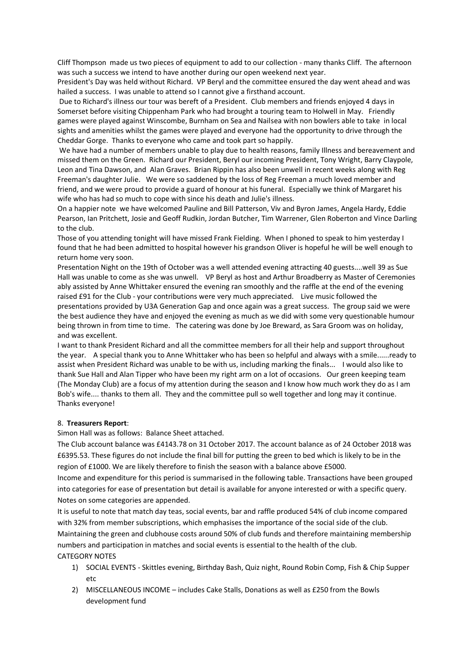Cliff Thompson made us two pieces of equipment to add to our collection - many thanks Cliff. The afternoon was such a success we intend to have another during our open weekend next year.

President's Day was held without Richard. VP Beryl and the committee ensured the day went ahead and was hailed a success. I was unable to attend so I cannot give a firsthand account.

Due to Richard's illness our tour was bereft of a President. Club members and friends enjoyed 4 days in Somerset before visiting Chippenham Park who had brought a touring team to Holwell in May. Friendly games were played against Winscombe, Burnham on Sea and Nailsea with non bowlers able to take in local sights and amenities whilst the games were played and everyone had the opportunity to drive through the Cheddar Gorge. Thanks to everyone who came and took part so happily.

We have had a number of members unable to play due to health reasons, family Illness and bereavement and missed them on the Green. Richard our President, Beryl our incoming President, Tony Wright, Barry Claypole, Leon and Tina Dawson, and Alan Graves. Brian Rippin has also been unwell in recent weeks along with Reg Freeman's daughter Julie. We were so saddened by the loss of Reg Freeman a much loved member and friend, and we were proud to provide a guard of honour at his funeral. Especially we think of Margaret his wife who has had so much to cope with since his death and Julie's illness.

On a happier note we have welcomed Pauline and Bill Patterson, Viv and Byron James, Angela Hardy, Eddie Pearson, Ian Pritchett, Josie and Geoff Rudkin, Jordan Butcher, Tim Warrener, Glen Roberton and Vince Darling to the club.

Those of you attending tonight will have missed Frank Fielding. When I phoned to speak to him yesterday I found that he had been admitted to hospital however his grandson Oliver is hopeful he will be well enough to return home very soon.

Presentation Night on the 19th of October was a well attended evening attracting 40 guests....well 39 as Sue Hall was unable to come as she was unwell. VP Beryl as host and Arthur Broadberry as Master of Ceremonies ably assisted by Anne Whittaker ensured the evening ran smoothly and the raffle at the end of the evening raised £91 for the Club - your contributions were very much appreciated. Live music followed the presentations provided by U3A Generation Gap and once again was a great success. The group said we were the best audience they have and enjoyed the evening as much as we did with some very questionable humour being thrown in from time to time. The catering was done by Joe Breward, as Sara Groom was on holiday, and was excellent.

I want to thank President Richard and all the committee members for all their help and support throughout the year. A special thank you to Anne Whittaker who has been so helpful and always with a smile......ready to assist when President Richard was unable to be with us, including marking the finals... I would also like to thank Sue Hall and Alan Tipper who have been my right arm on a lot of occasions. Our green keeping team (The Monday Club) are a focus of my attention during the season and I know how much work they do as I am Bob's wife.... thanks to them all. They and the committee pull so well together and long may it continue. Thanks everyone!

#### 8. **Treasurers Report**:

Simon Hall was as follows: Balance Sheet attached.

The Club account balance was £4143.78 on 31 October 2017. The account balance as of 24 October 2018 was £6395.53. These figures do not include the final bill for putting the green to bed which is likely to be in the region of £1000. We are likely therefore to finish the season with a balance above £5000.

Income and expenditure for this period is summarised in the following table. Transactions have been grouped into categories for ease of presentation but detail is available for anyone interested or with a specific query. Notes on some categories are appended.

It is useful to note that match day teas, social events, bar and raffle produced 54% of club income compared with 32% from member subscriptions, which emphasises the importance of the social side of the club. Maintaining the green and clubhouse costs around 50% of club funds and therefore maintaining membership numbers and participation in matches and social events is essential to the health of the club. CATEGORY NOTES

- 1) SOCIAL EVENTS Skittles evening, Birthday Bash, Quiz night, Round Robin Comp, Fish & Chip Supper etc
- 2) MISCELLANEOUS INCOME includes Cake Stalls, Donations as well as £250 from the Bowls development fund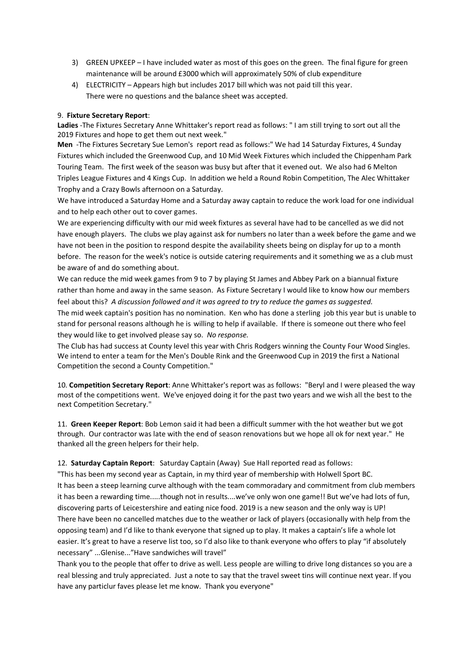- 3) GREEN UPKEEP I have included water as most of this goes on the green. The final figure for green maintenance will be around £3000 which will approximately 50% of club expenditure
- 4) ELECTRICITY Appears high but includes 2017 bill which was not paid till this year. There were no questions and the balance sheet was accepted.

#### 9. **Fixture Secretary Report**:

**Ladies** -The Fixtures Secretary Anne Whittaker's report read as follows: " I am still trying to sort out all the 2019 Fixtures and hope to get them out next week."

**Men** -The Fixtures Secretary Sue Lemon's report read as follows:" We had 14 Saturday Fixtures, 4 Sunday Fixtures which included the Greenwood Cup, and 10 Mid Week Fixtures which included the Chippenham Park Touring Team. The first week of the season was busy but after that it evened out. We also had 6 Melton Triples League Fixtures and 4 Kings Cup. In addition we held a Round Robin Competition, The Alec Whittaker Trophy and a Crazy Bowls afternoon on a Saturday.

We have introduced a Saturday Home and a Saturday away captain to reduce the work load for one individual and to help each other out to cover games.

We are experiencing difficulty with our mid week fixtures as several have had to be cancelled as we did not have enough players. The clubs we play against ask for numbers no later than a week before the game and we have not been in the position to respond despite the availability sheets being on display for up to a month before. The reason for the week's notice is outside catering requirements and it something we as a club must be aware of and do something about.

We can reduce the mid week games from 9 to 7 by playing St James and Abbey Park on a biannual fixture rather than home and away in the same season. As Fixture Secretary I would like to know how our members feel about this? *A discussion followed and it was agreed to try to reduce the games as suggested.*

The mid week captain's position has no nomination. Ken who has done a sterling job this year but is unable to stand for personal reasons although he is willing to help if available. If there is someone out there who feel they would like to get involved please say so. *No response.*

The Club has had success at County level this year with Chris Rodgers winning the County Four Wood Singles. We intend to enter a team for the Men's Double Rink and the Greenwood Cup in 2019 the first a National Competition the second a County Competition."

10. **Competition Secretary Report**: Anne Whittaker's report was as follows: "Beryl and I were pleased the way most of the competitions went. We've enjoyed doing it for the past two years and we wish all the best to the next Competition Secretary."

11. **Green Keeper Report**: Bob Lemon said it had been a difficult summer with the hot weather but we got through. Our contractor was late with the end of season renovations but we hope all ok for next year." He thanked all the green helpers for their help.

12. **Saturday Captain Report**: Saturday Captain (Away) Sue Hall reported read as follows:

"This has been my second year as Captain, in my third year of membership with Holwell Sport BC. It has been a steep learning curve although with the team commoradary and commitment from club members it has been a rewarding time.....though not in results....we've only won one game!! But we've had lots of fun, discovering parts of Leicestershire and eating nice food. 2019 is a new season and the only way is UP! There have been no cancelled matches due to the weather or lack of players (occasionally with help from the opposing team) and I'd like to thank everyone that signed up to play. It makes a captain's life a whole lot easier. It's great to have a reserve list too, so I'd also like to thank everyone who offers to play "if absolutely necessary" ...Glenise..."Have sandwiches will travel"

Thank you to the people that offer to drive as well. Less people are willing to drive long distances so you are a real blessing and truly appreciated. Just a note to say that the travel sweet tins will continue next year. If you have any particlur faves please let me know. Thank you everyone"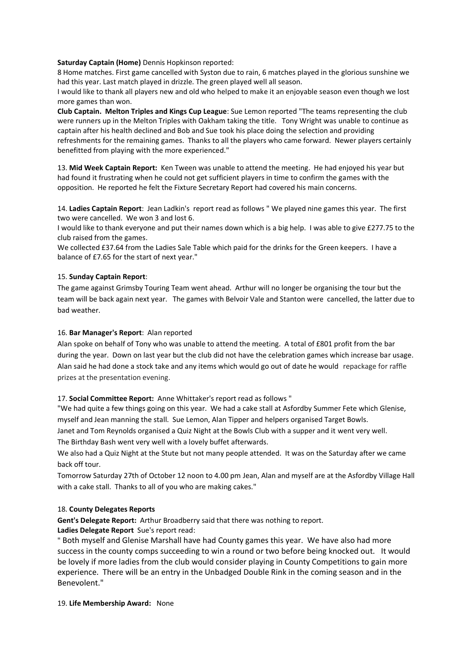#### **Saturday Captain (Home)** Dennis Hopkinson reported:

8 Home matches. First game cancelled with Syston due to rain, 6 matches played in the glorious sunshine we had this year. Last match played in drizzle. The green played well all season.

I would like to thank all players new and old who helped to make it an enjoyable season even though we lost more games than won.

**Club Captain. Melton Triples and Kings Cup League**: Sue Lemon reported "The teams representing the club were runners up in the Melton Triples with Oakham taking the title. Tony Wright was unable to continue as captain after his health declined and Bob and Sue took his place doing the selection and providing refreshments for the remaining games. Thanks to all the players who came forward. Newer players certainly benefitted from playing with the more experienced."

13. **Mid Week Captain Report:** Ken Tween was unable to attend the meeting. He had enjoyed his year but had found it frustrating when he could not get sufficient players in time to confirm the games with the opposition. He reported he felt the Fixture Secretary Report had covered his main concerns.

14. **Ladies Captain Report**: Jean Ladkin's report read as follows " We played nine games this year. The first two were cancelled. We won 3 and lost 6.

I would like to thank everyone and put their names down which is a big help. I was able to give £277.75 to the club raised from the games.

We collected £37.64 from the Ladies Sale Table which paid for the drinks for the Green keepers. I have a balance of £7.65 for the start of next year."

#### 15. **Sunday Captain Report**:

The game against Grimsby Touring Team went ahead. Arthur will no longer be organising the tour but the team will be back again next year. The games with Belvoir Vale and Stanton were cancelled, the latter due to bad weather.

#### 16. **Bar Manager's Report**: Alan reported

Alan spoke on behalf of Tony who was unable to attend the meeting. A total of £801 profit from the bar during the year. Down on last year but the club did not have the celebration games which increase bar usage. Alan said he had done a stock take and any items which would go out of date he would repackage for raffle prizes at the presentation evening.

#### 17. **Social Committee Report:** Anne Whittaker's report read as follows "

"We had quite a few things going on this year. We had a cake stall at Asfordby Summer Fete which Glenise, myself and Jean manning the stall. Sue Lemon, Alan Tipper and helpers organised Target Bowls.

Janet and Tom Reynolds organised a Quiz Night at the Bowls Club with a supper and it went very well. The Birthday Bash went very well with a lovely buffet afterwards.

We also had a Quiz Night at the Stute but not many people attended. It was on the Saturday after we came back off tour.

Tomorrow Saturday 27th of October 12 noon to 4.00 pm Jean, Alan and myself are at the Asfordby Village Hall with a cake stall. Thanks to all of you who are making cakes."

#### 18. **County Delegates Reports**

**Gent's Delegate Report:** Arthur Broadberry said that there was nothing to report.

#### **Ladies Delegate Report** Sue's report read:

" Both myself and Glenise Marshall have had County games this year. We have also had more success in the county comps succeeding to win a round or two before being knocked out. It would be lovely if more ladies from the club would consider playing in County Competitions to gain more experience. There will be an entry in the Unbadged Double Rink in the coming season and in the Benevolent."

#### 19. **Life Membership Award:** None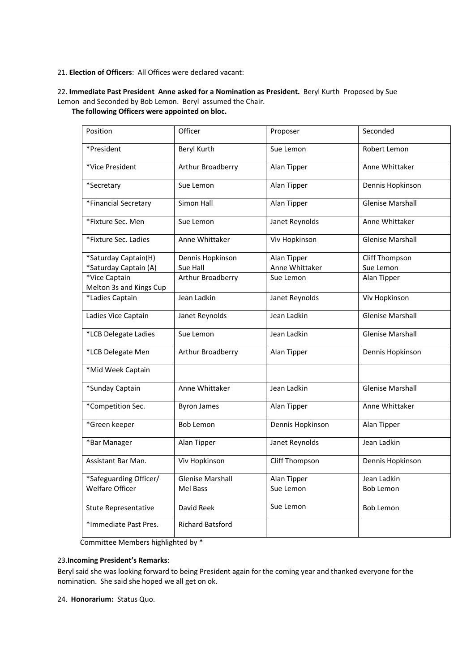#### 21. **Election of Officers**: All Offices were declared vacant:

### 22. **Immediate Past President Anne asked for a Nomination as President.** Beryl Kurth Proposed by Sue Lemon and Seconded by Bob Lemon. Beryl assumed the Chair.

#### **The following Officers were appointed on bloc.**

| Position                                 | Officer                 | Proposer         | Seconded                |
|------------------------------------------|-------------------------|------------------|-------------------------|
| *President                               | Beryl Kurth             | Sue Lemon        | Robert Lemon            |
| *Vice President                          | Arthur Broadberry       | Alan Tipper      | Anne Whittaker          |
| *Secretary                               | Sue Lemon               | Alan Tipper      | Dennis Hopkinson        |
| *Financial Secretary                     | Simon Hall              | Alan Tipper      | <b>Glenise Marshall</b> |
| *Fixture Sec. Men                        | Sue Lemon               | Janet Reynolds   | Anne Whittaker          |
| *Fixture Sec. Ladies                     | Anne Whittaker          | Viv Hopkinson    | <b>Glenise Marshall</b> |
| *Saturday Captain(H)                     | Dennis Hopkinson        | Alan Tipper      | Cliff Thompson          |
| *Saturday Captain (A)                    | Sue Hall                | Anne Whittaker   | Sue Lemon               |
| *Vice Captain<br>Melton 3s and Kings Cup | Arthur Broadberry       | Sue Lemon        | Alan Tipper             |
| *Ladies Captain                          | Jean Ladkin             | Janet Reynolds   | Viv Hopkinson           |
| Ladies Vice Captain                      | Janet Reynolds          | Jean Ladkin      | <b>Glenise Marshall</b> |
| *LCB Delegate Ladies                     | Sue Lemon               | Jean Ladkin      | <b>Glenise Marshall</b> |
| *LCB Delegate Men                        | Arthur Broadberry       | Alan Tipper      | Dennis Hopkinson        |
| *Mid Week Captain                        |                         |                  |                         |
| *Sunday Captain                          | Anne Whittaker          | Jean Ladkin      | <b>Glenise Marshall</b> |
| *Competition Sec.                        | <b>Byron James</b>      | Alan Tipper      | Anne Whittaker          |
| *Green keeper                            | <b>Bob Lemon</b>        | Dennis Hopkinson | Alan Tipper             |
| *Bar Manager                             | Alan Tipper             | Janet Reynolds   | Jean Ladkin             |
| Assistant Bar Man.                       | Viv Hopkinson           | Cliff Thompson   | Dennis Hopkinson        |
| *Safeguarding Officer/                   | <b>Glenise Marshall</b> | Alan Tipper      | Jean Ladkin             |
| <b>Welfare Officer</b>                   | Mel Bass                | Sue Lemon        | <b>Bob Lemon</b>        |
| <b>Stute Representative</b>              | David Reek              | Sue Lemon        | <b>Bob Lemon</b>        |
| *Immediate Past Pres.                    | <b>Richard Batsford</b> |                  |                         |

Committee Members highlighted by \*

#### 23.**Incoming President's Remarks**:

Beryl said she was looking forward to being President again for the coming year and thanked everyone for the nomination. She said she hoped we all get on ok.

24. **Honorarium:** Status Quo.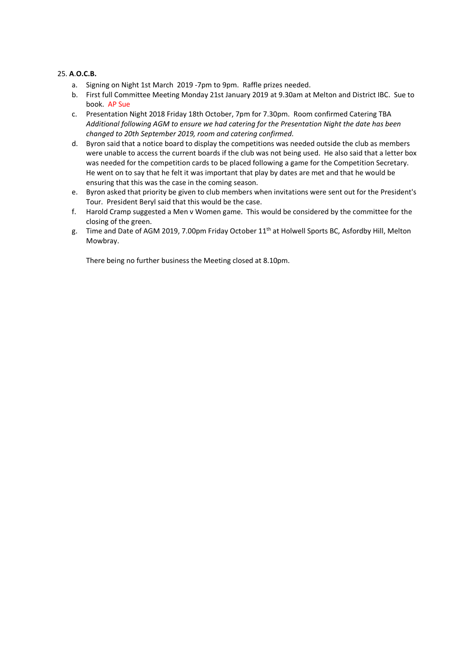#### 25. **A**.**O.C.B.**

- a. Signing on Night 1st March 2019 -7pm to 9pm. Raffle prizes needed.
- b. First full Committee Meeting Monday 21st January 2019 at 9.30am at Melton and District IBC. Sue to book. AP Sue
- c. Presentation Night 2018 Friday 18th October, 7pm for 7.30pm. Room confirmed Catering TBA *Additional following AGM to ensure we had catering for the Presentation Night the date has been changed to 20th September 2019, room and catering confirmed.*
- d. Byron said that a notice board to display the competitions was needed outside the club as members were unable to access the current boards if the club was not being used. He also said that a letter box was needed for the competition cards to be placed following a game for the Competition Secretary. He went on to say that he felt it was important that play by dates are met and that he would be ensuring that this was the case in the coming season.
- e. Byron asked that priority be given to club members when invitations were sent out for the President's Tour. President Beryl said that this would be the case.
- f. Harold Cramp suggested a Men v Women game. This would be considered by the committee for the closing of the green.
- g. Time and Date of AGM 2019, 7.00pm Friday October 11th at Holwell Sports BC*,* Asfordby Hill, Melton Mowbray.

There being no further business the Meeting closed at 8.10pm.